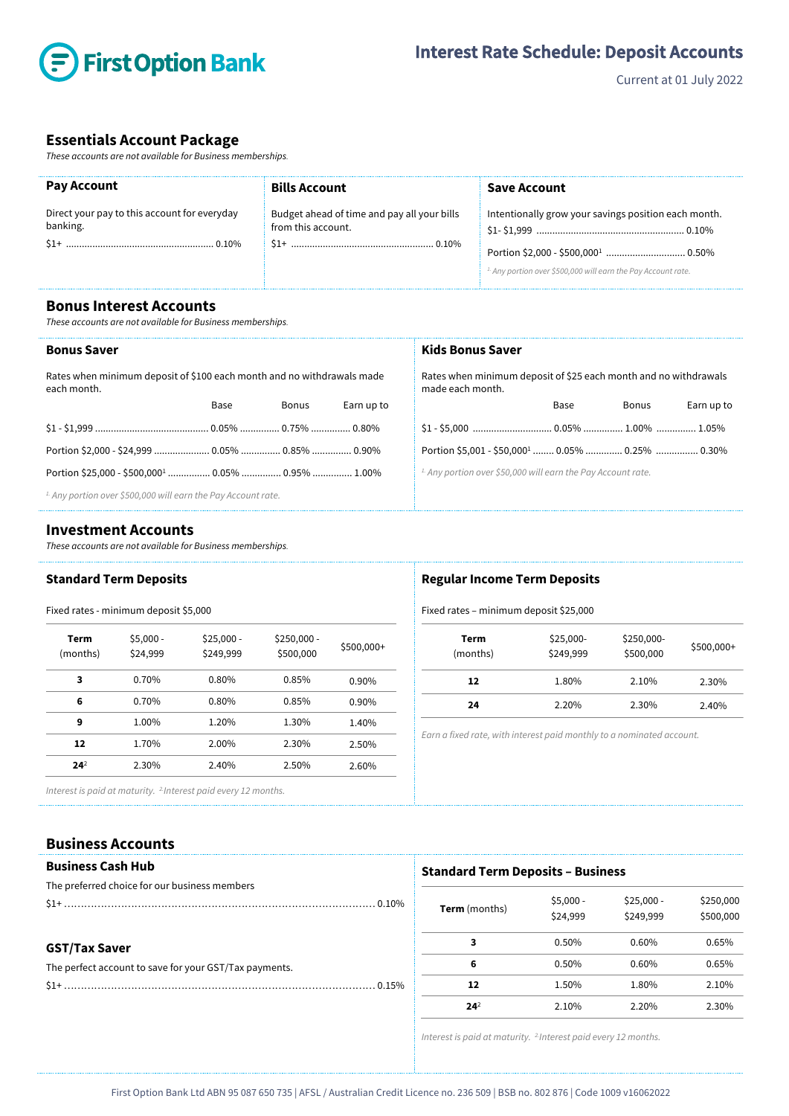

Current at 01 July 2022

## **Essentials Account Package**

*These accounts are not available for Business memberships.*

| <b>Pay Account</b>                                       | <b>Bills Account</b>                                              | Save Account                                                             |
|----------------------------------------------------------|-------------------------------------------------------------------|--------------------------------------------------------------------------|
| Direct your pay to this account for everyday<br>banking. | Budget ahead of time and pay all your bills<br>from this account. | Intentionally grow your savings position each month.                     |
|                                                          |                                                                   |                                                                          |
|                                                          |                                                                   | <sup>1.</sup> Any portion over \$500,000 will earn the Pay Account rate. |

**Bonus Interest Accounts**

*These accounts are not available for Business memberships.*

#### **Bonus Saver**

Rates when minimum deposit of \$100 each month and no withdrawals made each month.

| Base | Bonus | Earn up to |
|------|-------|------------|
|      |       |            |
|      |       |            |
|      |       |            |
|      |       |            |

*1. Any portion over \$500,000 will earn the Pay Account rate.* 

#### **Investment Accounts**

*These accounts are not available for Business memberships.* 

## **Standard Term Deposits**

## Fixed rates - minimum deposit \$5,000

| Term<br>(months) | $$5,000 -$<br>\$24,999 | $$25,000 -$<br>\$249,999 | $$250,000 -$<br>\$500,000 | \$500,000+ |
|------------------|------------------------|--------------------------|---------------------------|------------|
| 3                | 0.70%                  | 0.80%                    | 0.85%                     | 0.90%      |
| 6                | 0.70%                  | 0.80%                    | 0.85%                     | $0.90\%$   |
| 9                | 1.00%                  | 1.20%                    | 1.30%                     | 1.40%      |
| 12               | 1.70%                  | 2.00%                    | 2.30%                     | 2.50%      |
| 24 <sup>2</sup>  | 2.30%                  | 2.40%                    | 2.50%                     | 2.60%      |

## **Kids Bonus Saver** Rates when minimum deposit of \$25 each month and no withdrawals

made each month. Base Bonus Earn up to

| Portion \$5,001 - \$50,000 <sup>1</sup> 0.05%  0.25%  0.30%    |  |  |
|----------------------------------------------------------------|--|--|
| $\pm$ Any portion over \$50,000 will earn the Pay Account rate |  |  |

*1. Any portion over \$50,000 will earn the Pay Account rate.*

#### **Regular Income Term Deposits**

#### Fixed rates – minimum deposit \$25,000

| Term<br>(months) | \$25,000-<br>\$249,999 | \$250,000-<br>\$500,000 | \$500,000+ |
|------------------|------------------------|-------------------------|------------|
| 12               | 1.80%                  | 2.10%                   | 2.30%      |
| 24               | 2.20%                  | 2.30%                   | 2.40%      |

*Earn a fixed rate, with interest paid monthly to a nominated account.*

*Interest is paid at maturity. 2. Interest paid every 12 months.*

### **Business Accounts**

| <b>Business Cash Hub</b> |  |
|--------------------------|--|
|--------------------------|--|

| The preferred choice for our business members |  |
|-----------------------------------------------|--|
|                                               |  |

#### **GST/Tax Saver**

| The perfect account to save for your GST/Tax payments. |
|--------------------------------------------------------|
|                                                        |

#### **Standard Term Deposits – Business**

| <b>Term</b> (months) | $$5,000 -$<br>\$24,999 | $$25,000 -$<br>\$249,999 | \$250,000<br>\$500,000 |
|----------------------|------------------------|--------------------------|------------------------|
| 3                    | 0.50%                  | 0.60%                    | 0.65%                  |
| 6                    | 0.50%                  | 0.60%                    | 0.65%                  |
| 12                   | 1.50%                  | 1.80%                    | 2.10%                  |
| $24^{2}$             | 2.10%                  | 2.20%                    | 2.30%                  |

*Interest is paid at maturity. 2.Interest paid every 12 months.*